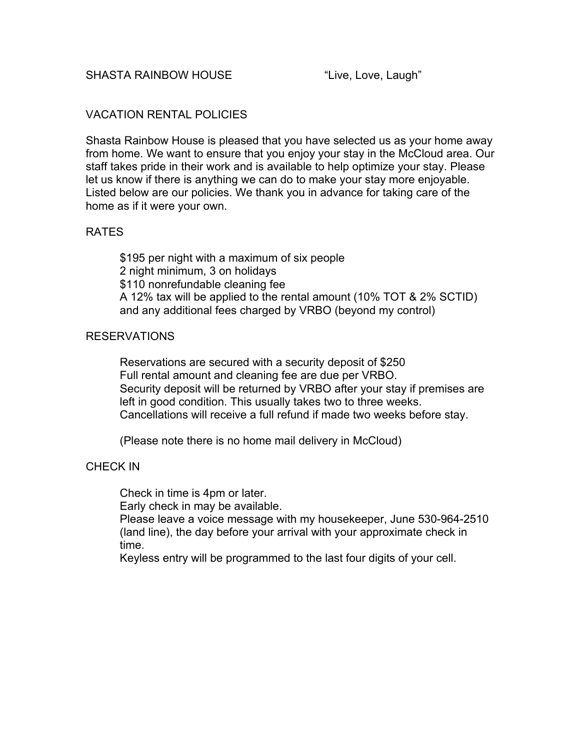# VACATION RENTAL POLICIES

Shasta Rainbow House is pleased that you have selected us as your home away from home. We want to ensure that you enjoy your stay in the McCloud area. Our staff takes pride in their work and is available to help optimize your stay. Please let us know if there is anything we can do to make your stay more enjoyable. Listed below are our policies. We thank you in advance for taking care of the home as if it were your own.

# RATES

\$195 per night with a maximum of six people 2 night minimum, 3 on holidays \$110 nonrefundable cleaning fee A 12% tax will be applied to the rental amount (10% TOT & 2% SCTID) and any additional fees charged by VRBO (beyond my control)

## RESERVATIONS

Reservations are secured with a security deposit of \$250 Full rental amount and cleaning fee are due per VRBO. Security deposit will be returned by VRBO after your stay if premises are left in good condition. This usually takes two to three weeks. Cancellations will receive a full refund if made two weeks before stay.

(Please note there is no home mail delivery in McCloud)

## CHECK IN

Check in time is 4pm or later.

Early check in may be available.

Please leave a voice message with my housekeeper, June 530-964-2510 (land line), the day before your arrival with your approximate check in time.

Keyless entry will be programmed to the last four digits of your cell.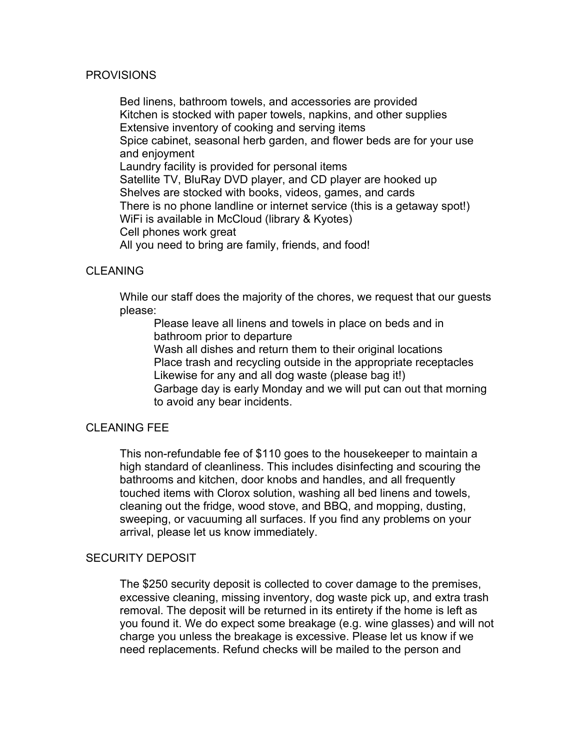### PROVISIONS

Bed linens, bathroom towels, and accessories are provided Kitchen is stocked with paper towels, napkins, and other supplies Extensive inventory of cooking and serving items Spice cabinet, seasonal herb garden, and flower beds are for your use and enjoyment Laundry facility is provided for personal items Satellite TV, BluRay DVD player, and CD player are hooked up Shelves are stocked with books, videos, games, and cards There is no phone landline or internet service (this is a getaway spot!) WiFi is available in McCloud (library & Kyotes) Cell phones work great All you need to bring are family, friends, and food!

## CLEANING

While our staff does the majority of the chores, we request that our guests please:

Please leave all linens and towels in place on beds and in bathroom prior to departure

Wash all dishes and return them to their original locations Place trash and recycling outside in the appropriate receptacles Likewise for any and all dog waste (please bag it!)

Garbage day is early Monday and we will put can out that morning to avoid any bear incidents.

# CI FANING FFF

This non-refundable fee of \$110 goes to the housekeeper to maintain a high standard of cleanliness. This includes disinfecting and scouring the bathrooms and kitchen, door knobs and handles, and all frequently touched items with Clorox solution, washing all bed linens and towels, cleaning out the fridge, wood stove, and BBQ, and mopping, dusting, sweeping, or vacuuming all surfaces. If you find any problems on your arrival, please let us know immediately.

#### SECURITY DEPOSIT

The \$250 security deposit is collected to cover damage to the premises, excessive cleaning, missing inventory, dog waste pick up, and extra trash removal. The deposit will be returned in its entirety if the home is left as you found it. We do expect some breakage (e.g. wine glasses) and will not charge you unless the breakage is excessive. Please let us know if we need replacements. Refund checks will be mailed to the person and